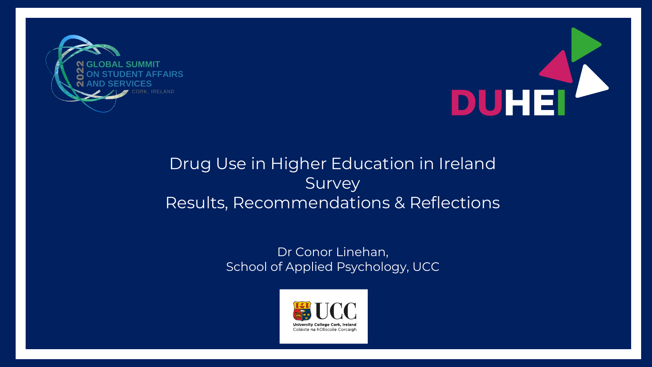



#### Drug Use in Higher Education in Ireland Survey Results, Recommendations & Reflections

Dr Conor Linehan, School of Applied Psychology, UCC

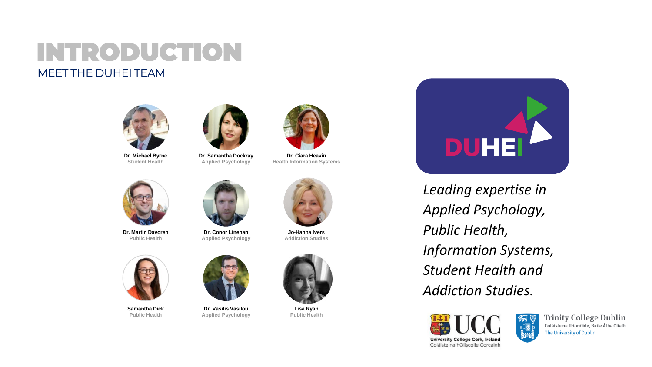#### INTRODUCTION MEET THE DUHEI TEAM



**Dr. Michael Byrne Student Health**



**Dr. Samantha Dockray Applied Psychology**



**Dr. Ciara Heavin Health Information Systems**



**Dr. Martin Davoren Public Health**



**Dr. Conor Linehan Applied Psychology**



**Jo-Hanna Ivers Addiction Studies**



**Samantha Dick Public Health**



**Dr. Vasilis Vasilou Applied Psychology**



**Lisa Ryan Public Health**



*Leading expertise in Applied Psychology, Public Health, Information Systems, Student Health and Addiction Studies.*



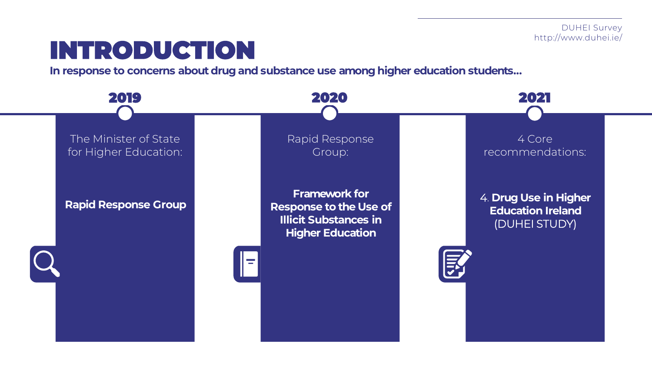# INTRODUCTION

**In response to concerns about drug and substance use among higher education students...**

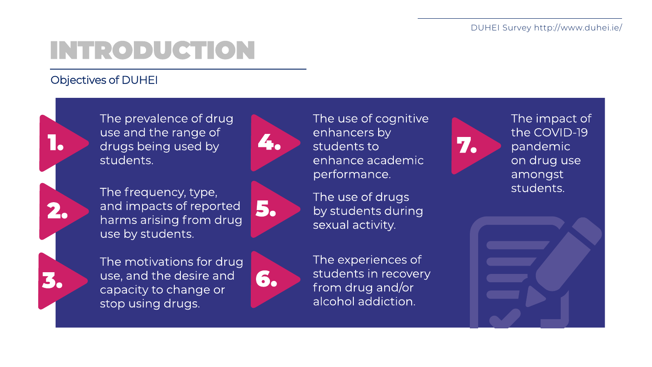# INTRODUCTION

#### Objectives of DUHEI



The prevalence of drug use and the range of drugs being used by students.



5.

The frequency, type, and impacts of reported harms arising from drug use by students.

The motivations for drug use, and the desire and capacity to change or stop using drugs.



The use of cognitive enhancers by students to enhance academic performance.

The use of drugs by students during sexual activity.

The experiences of students in recovery from drug and/or alcohol addiction.



The impact of the COVID-19 pandemic on drug use amongst students.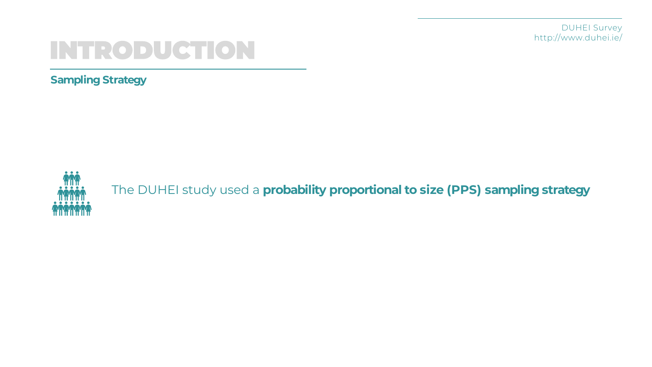DUHEI Survey http://www.duhei.ie/

## INTRODUCTION

**Sampling Strategy**



The DUHEI study used a **probability proportional to size (PPS) sampling strategy**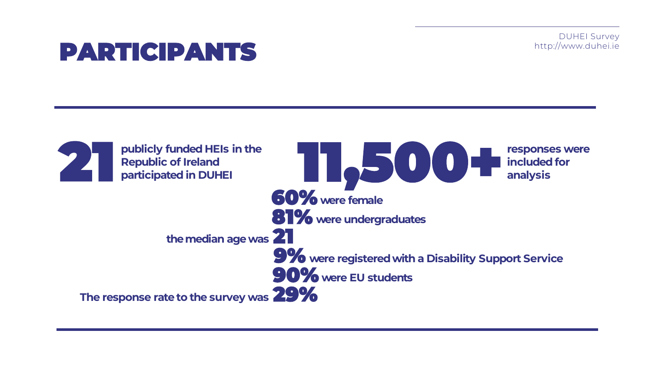DUHEI Survey http://www.duhei.ie

### PARTICIPANTS

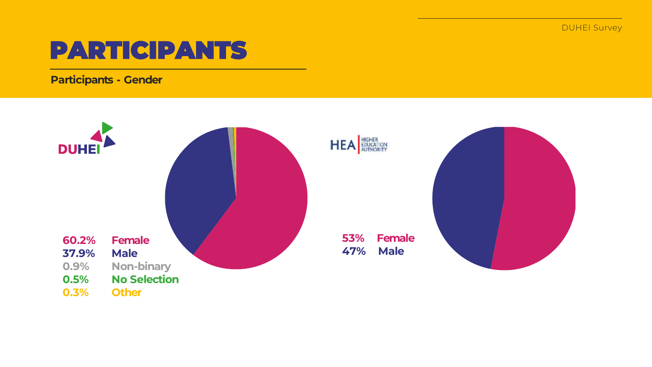### PARTICIPANTS

**Participants - Gender**

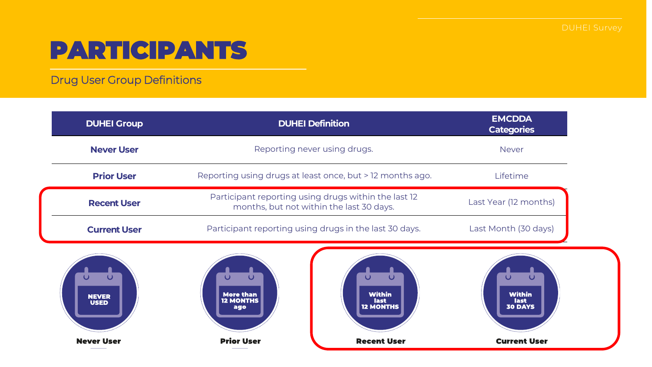## PARTICIPANTS

Drug User Group Definitions

| <b>DUHEI Group</b>                              | <b>DUHEI Definition</b>                                                                                               | <b>EMCDDA</b><br><b>Categories</b>                         |
|-------------------------------------------------|-----------------------------------------------------------------------------------------------------------------------|------------------------------------------------------------|
| <b>Never User</b>                               | Reporting never using drugs.                                                                                          | <b>Never</b>                                               |
| <b>Prior User</b>                               | Reporting using drugs at least once, but > 12 months ago.                                                             | Lifetime                                                   |
| <b>Recent User</b>                              | Participant reporting using drugs within the last 12<br>months, but not within the last 30 days.                      | Last Year (12 months)                                      |
| <b>Current User</b>                             | Participant reporting using drugs in the last 30 days.                                                                | Last Month (30 days)                                       |
| $\mathbf \Omega$<br><b>NEVER</b><br><b>USED</b> | $\cup$<br>$\mathbf\omega$<br><b>Within</b><br><b>More than</b><br><b>12 MONTHS</b><br>last<br><b>12 MONTHS</b><br>ago | $\mathbf\omega$<br><b>Within</b><br>last<br><b>30 DAYS</b> |
| <b>Never User</b>                               | <b>Prior User</b><br><b>Recent User</b>                                                                               | <b>Current User</b>                                        |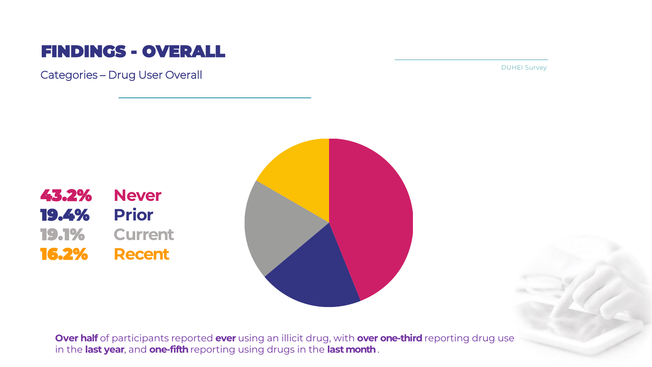#### FINDINGS - OVERALL

Categories – Drug User Overall

DUHEI Survey





**Over half** of participants reported **ever** using an illicit drug, with **over one-third** reporting drug use in the **last year**, and **one-fifth**reporting using drugs in the **last month**.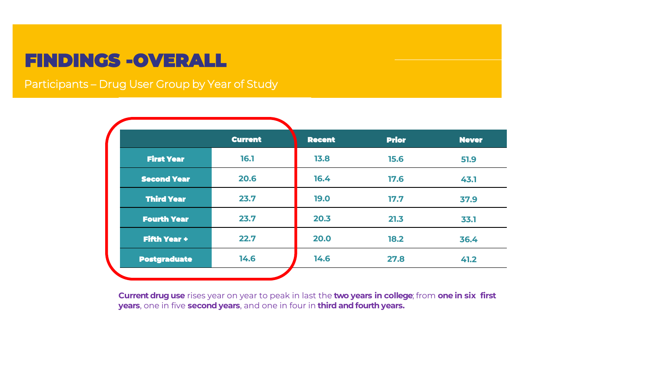### **FINDINGS -OVERALL**

Participants – Drug User Group by Year of Study

|                     | <b>Current</b> | <b>Recent</b> | <b>Prior</b> | <b>Never</b> |
|---------------------|----------------|---------------|--------------|--------------|
| <b>First Year</b>   | 16.1           | 13.8          | 15.6         | 51.9         |
| <b>Second Year</b>  | 20.6           | 16.4          | 17.6         | 43.1         |
| <b>Third Year</b>   | 23.7           | <b>19.0</b>   | 17.7         | 37.9         |
| <b>Fourth Year</b>  | 23.7           | 20.3          | 21.3         | 33.1         |
| <b>Fifth Year +</b> | 22.7           | 20.0          | 18.2         | 36.4         |
| <b>Postgraduate</b> | 14.6           | 14.6          | 27.8         | 41.2         |

**Current drug use** rises year on year to peak in last the **two years in college**; from **one in six first years**, one in five **second years**, and one in four in **third and fourth years.**.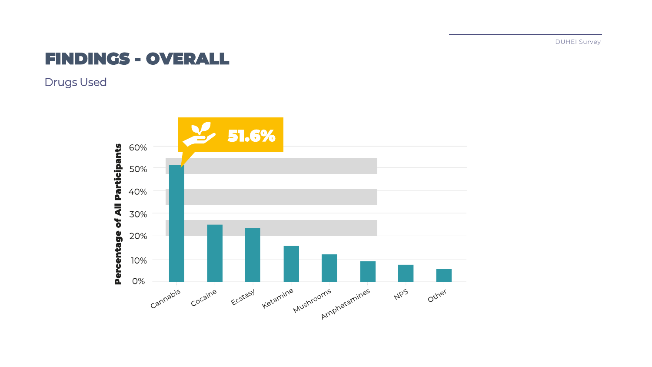#### FINDINGS - OVERALL

Drugs Used

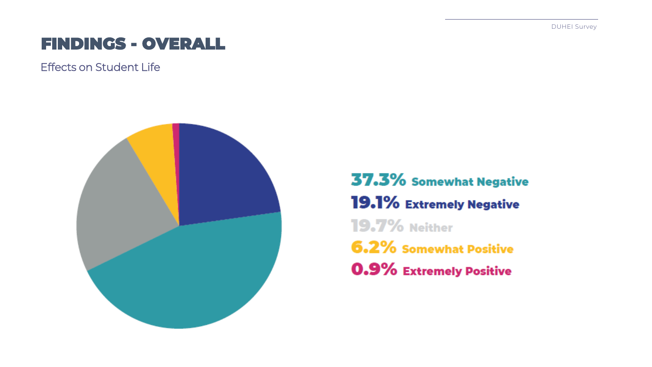### FINDINGS - OVERALL

Effects on Student Life



37.3% Somewhat Negative 19.1% Extremely Negative **19.7% Neither 6.2% Somewhat Positive** 0.9% Extremely Positive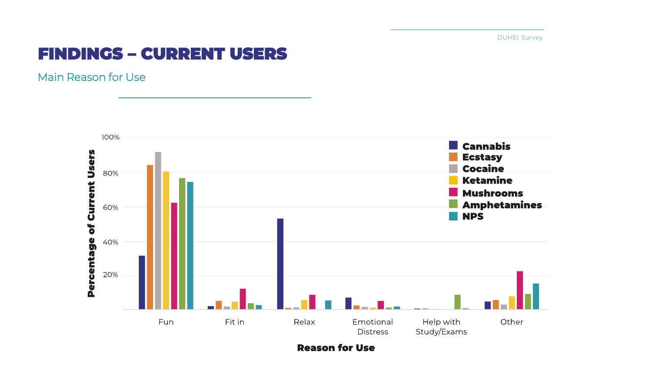#### FINDINGS – CURRENT USERS

Main Reason for Use



**Reason for Use**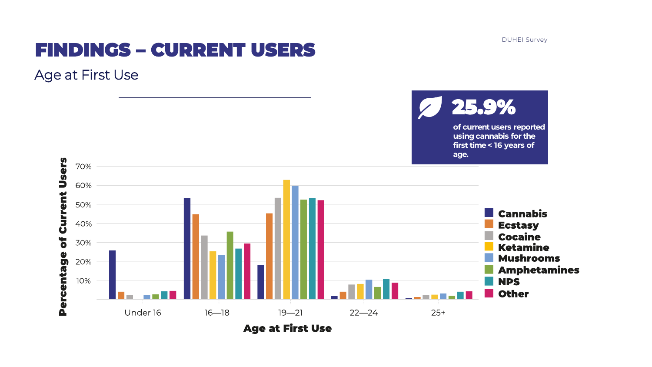

### FINDINGS – CURRENT USERS

Age at First Use

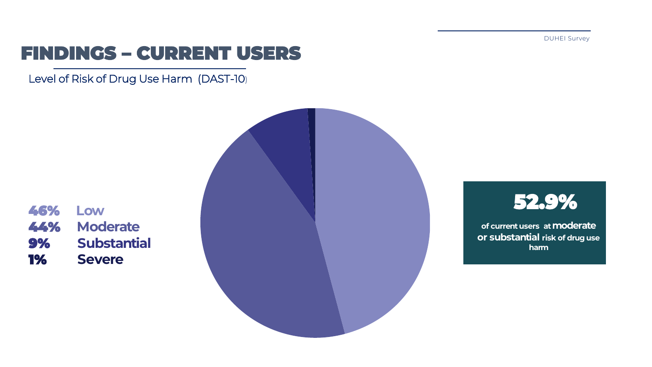52.9%

**of current users at moderate or substantial risk of drug use harm**

### FINDINGS – CURRENT USERS

Level of Risk of Drug Use Harm (DAST-10)

46% **Low** 44% **Moderate** 9% **Substantial** 1% **Severe**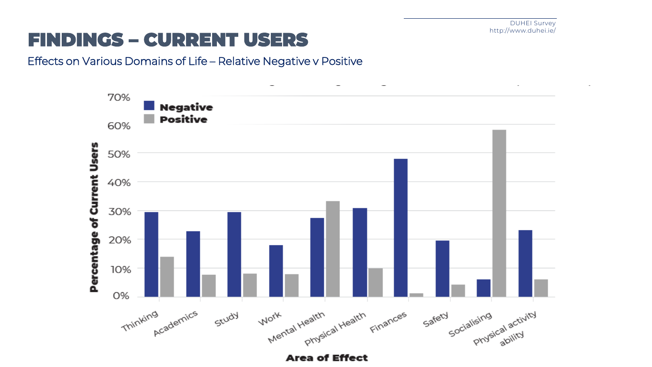### FINDINGS – CURRENT USERS

#### Effects on Various Domains of Life – Relative Negative v Positive

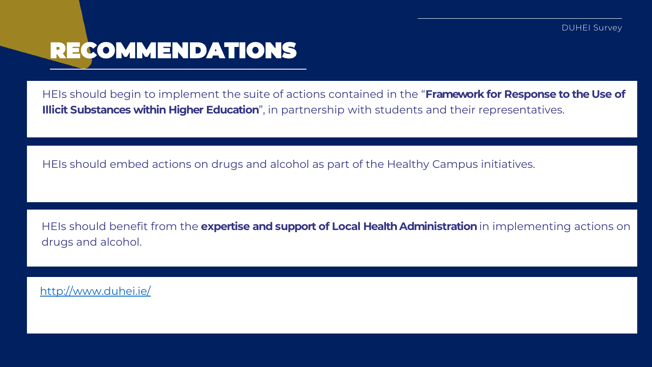### RECOMMENDATIONS

HEIs should begin to implement the suite of actions contained in the "**Framework for Response to the Use of Illicit Substances within Higher Education**", in partnership with students and their representatives.

HEIs should embed actions on drugs and alcohol as part of the Healthy Campus initiatives.

HEIs should benefit from the **expertise and support of Local Health Administration** in implementing actions on drugs and alcohol.

<http://www.duhei.ie/>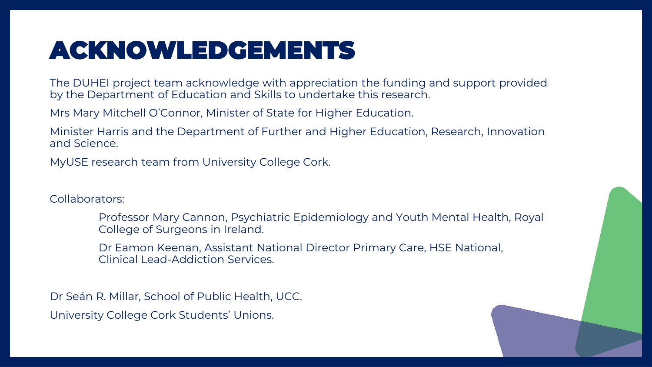## ACKNOWLEDGEMENTS

The DUHEI project team acknowledge with appreciation the funding and support provided by the Department of Education and Skills to undertake this research.

Mrs Mary Mitchell O'Connor, Minister of State for Higher Education.

Minister Harris and the Department of Further and Higher Education, Research, Innovation and Science.

MyUSE research team from University College Cork.

Collaborators:

Professor Mary Cannon, Psychiatric Epidemiology and Youth Mental Health, Royal College of Surgeons in Ireland.

Dr Eamon Keenan, Assistant National Director Primary Care, HSE National, Clinical Lead-Addiction Services.

Dr Seán R. Millar, School of Public Health, UCC. University College Cork Students' Unions.